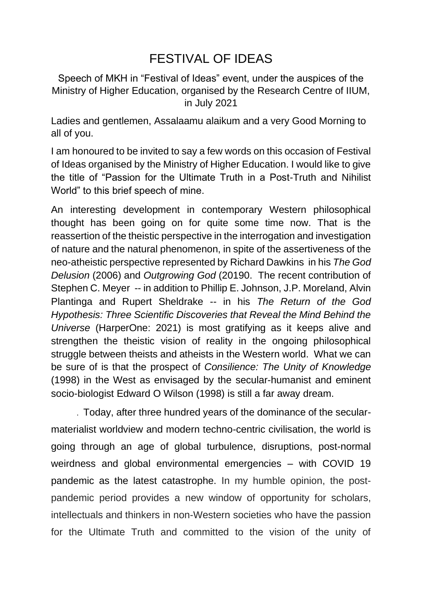## FESTIVAL OF IDEAS

Speech of MKH in "Festival of Ideas" event, under the auspices of the Ministry of Higher Education, organised by the Research Centre of IIUM, in July 2021

Ladies and gentlemen, Assalaamu alaikum and a very Good Morning to all of you.

I am honoured to be invited to say a few words on this occasion of Festival of Ideas organised by the Ministry of Higher Education. I would like to give the title of "Passion for the Ultimate Truth in a Post-Truth and Nihilist World" to this brief speech of mine.

An interesting development in contemporary Western philosophical thought has been going on for quite some time now. That is the reassertion of the theistic perspective in the interrogation and investigation of nature and the natural phenomenon, in spite of the assertiveness of the neo-atheistic perspective represented by Richard Dawkins in his *The God Delusion* (2006) and *Outgrowing God* (20190. The recent contribution of Stephen C. Meyer -- in addition to Phillip E. Johnson, J.P. Moreland, Alvin Plantinga and Rupert Sheldrake -- in his *The Return of the God Hypothesis: Three Scientific Discoveries that Reveal the Mind Behind the Universe* (HarperOne: 2021) is most gratifying as it keeps alive and strengthen the theistic vision of reality in the ongoing philosophical struggle between theists and atheists in the Western world. What we can be sure of is that the prospect of *Consilience: The Unity of Knowledge* (1998) in the West as envisaged by the secular-humanist and eminent socio-biologist Edward O Wilson (1998) is still a far away dream.

. Today, after three hundred years of the dominance of the secularmaterialist worldview and modern techno-centric civilisation, the world is going through an age of global turbulence, disruptions, post-normal weirdness and global environmental emergencies – with COVID 19 pandemic as the latest catastrophe. In my humble opinion, the postpandemic period provides a new window of opportunity for scholars, intellectuals and thinkers in non-Western societies who have the passion for the Ultimate Truth and committed to the vision of the unity of